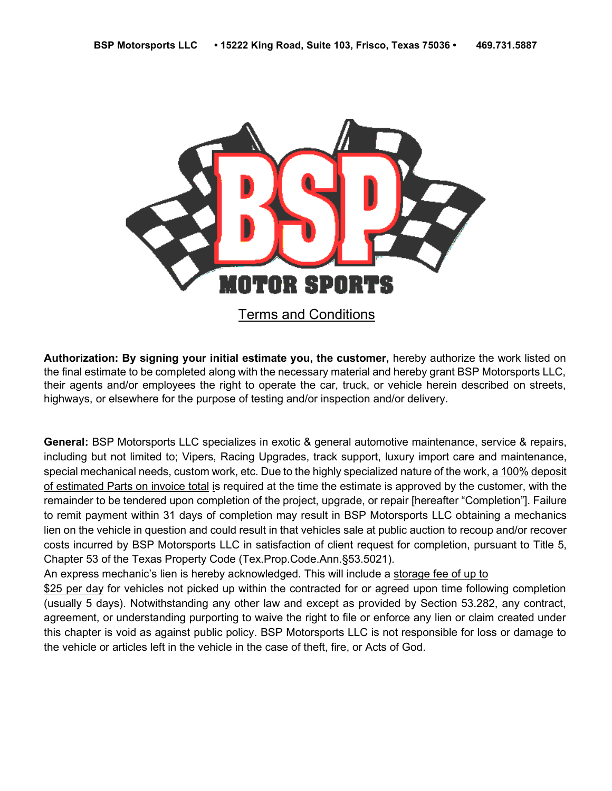

**Authorization: By signing your initial estimate you, the customer,** hereby authorize the work listed on the final estimate to be completed along with the necessary material and hereby grant BSP Motorsports LLC, their agents and/or employees the right to operate the car, truck, or vehicle herein described on streets, highways, or elsewhere for the purpose of testing and/or inspection and/or delivery.

**General:** BSP Motorsports LLC specializes in exotic & general automotive maintenance, service & repairs, including but not limited to; Vipers, Racing Upgrades, track support, luxury import care and maintenance, special mechanical needs, custom work, etc. Due to the highly specialized nature of the work, a 100% deposit of estimated Parts on invoice total is required at the time the estimate is approved by the customer, with the remainder to be tendered upon completion of the project, upgrade, or repair [hereafter "Completion"]. Failure to remit payment within 31 days of completion may result in BSP Motorsports LLC obtaining a mechanics lien on the vehicle in question and could result in that vehicles sale at public auction to recoup and/or recover costs incurred by BSP Motorsports LLC in satisfaction of client request for completion, pursuant to Title 5, Chapter 53 of the Texas Property Code (Tex.Prop.Code.Ann.§53.5021).

An express mechanic's lien is hereby acknowledged. This will include a storage fee of up to

\$25 per day for vehicles not picked up within the contracted for or agreed upon time following completion (usually 5 days). Notwithstanding any other law and except as provided by Section 53.282, any contract, agreement, or understanding purporting to waive the right to file or enforce any lien or claim created under this chapter is void as against public policy. BSP Motorsports LLC is not responsible for loss or damage to the vehicle or articles left in the vehicle in the case of theft, fire, or Acts of God.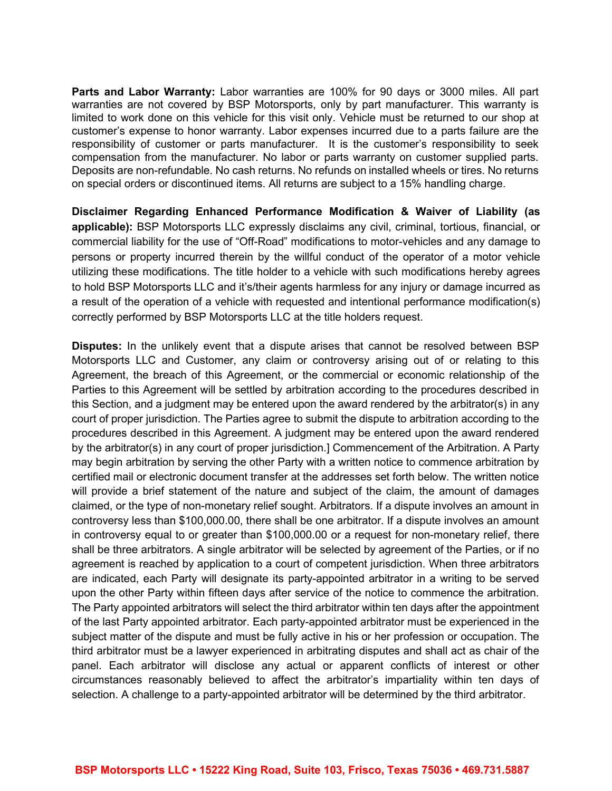**Parts and Labor Warranty:** Labor warranties are 100% for 90 days or 3000 miles. All part warranties are not covered by BSP Motorsports, only by part manufacturer. This warranty is limited to work done on this vehicle for this visit only. Vehicle must be returned to our shop at customer's expense to honor warranty. Labor expenses incurred due to a parts failure are the responsibility of customer or parts manufacturer. It is the customer's responsibility to seek compensation from the manufacturer. No labor or parts warranty on customer supplied parts. Deposits are non-refundable. No cash returns. No refunds on installed wheels or tires. No returns on special orders or discontinued items. All returns are subject to a 15% handling charge.

**Disclaimer Regarding Enhanced Performance Modification & Waiver of Liability (as applicable):** BSP Motorsports LLC expressly disclaims any civil, criminal, tortious, financial, or commercial liability for the use of "Off-Road" modifications to motor-vehicles and any damage to persons or property incurred therein by the willful conduct of the operator of a motor vehicle utilizing these modifications. The title holder to a vehicle with such modifications hereby agrees to hold BSP Motorsports LLC and it's/their agents harmless for any injury or damage incurred as a result of the operation of a vehicle with requested and intentional performance modification(s) correctly performed by BSP Motorsports LLC at the title holders request.

**Disputes:** In the unlikely event that a dispute arises that cannot be resolved between BSP Motorsports LLC and Customer, any claim or controversy arising out of or relating to this Agreement, the breach of this Agreement, or the commercial or economic relationship of the Parties to this Agreement will be settled by arbitration according to the procedures described in this Section, and a judgment may be entered upon the award rendered by the arbitrator(s) in any court of proper jurisdiction. The Parties agree to submit the dispute to arbitration according to the procedures described in this Agreement. A judgment may be entered upon the award rendered by the arbitrator(s) in any court of proper jurisdiction.] Commencement of the Arbitration. A Party may begin arbitration by serving the other Party with a written notice to commence arbitration by certified mail or electronic document transfer at the addresses set forth below. The written notice will provide a brief statement of the nature and subject of the claim, the amount of damages claimed, or the type of non-monetary relief sought. Arbitrators. If a dispute involves an amount in controversy less than \$100,000.00, there shall be one arbitrator. If a dispute involves an amount in controversy equal to or greater than \$100,000.00 or a request for non-monetary relief, there shall be three arbitrators. A single arbitrator will be selected by agreement of the Parties, or if no agreement is reached by application to a court of competent jurisdiction. When three arbitrators are indicated, each Party will designate its party-appointed arbitrator in a writing to be served upon the other Party within fifteen days after service of the notice to commence the arbitration. The Party appointed arbitrators will select the third arbitrator within ten days after the appointment of the last Party appointed arbitrator. Each party-appointed arbitrator must be experienced in the subject matter of the dispute and must be fully active in his or her profession or occupation. The third arbitrator must be a lawyer experienced in arbitrating disputes and shall act as chair of the panel. Each arbitrator will disclose any actual or apparent conflicts of interest or other circumstances reasonably believed to affect the arbitrator's impartiality within ten days of selection. A challenge to a party-appointed arbitrator will be determined by the third arbitrator.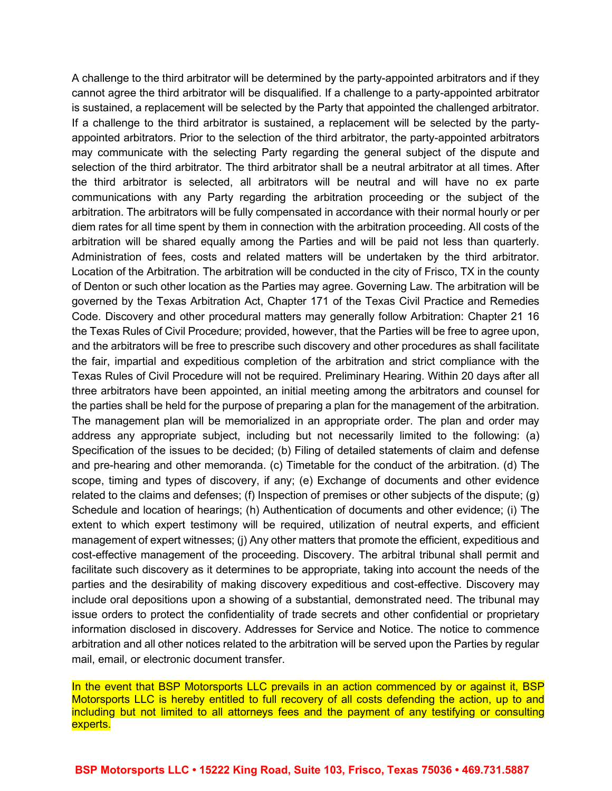A challenge to the third arbitrator will be determined by the party-appointed arbitrators and if they cannot agree the third arbitrator will be disqualified. If a challenge to a party-appointed arbitrator is sustained, a replacement will be selected by the Party that appointed the challenged arbitrator. If a challenge to the third arbitrator is sustained, a replacement will be selected by the partyappointed arbitrators. Prior to the selection of the third arbitrator, the party-appointed arbitrators may communicate with the selecting Party regarding the general subject of the dispute and selection of the third arbitrator. The third arbitrator shall be a neutral arbitrator at all times. After the third arbitrator is selected, all arbitrators will be neutral and will have no ex parte communications with any Party regarding the arbitration proceeding or the subject of the arbitration. The arbitrators will be fully compensated in accordance with their normal hourly or per diem rates for all time spent by them in connection with the arbitration proceeding. All costs of the arbitration will be shared equally among the Parties and will be paid not less than quarterly. Administration of fees, costs and related matters will be undertaken by the third arbitrator. Location of the Arbitration. The arbitration will be conducted in the city of Frisco, TX in the county of Denton or such other location as the Parties may agree. Governing Law. The arbitration will be governed by the Texas Arbitration Act, Chapter 171 of the Texas Civil Practice and Remedies Code. Discovery and other procedural matters may generally follow Arbitration: Chapter 21 16 the Texas Rules of Civil Procedure; provided, however, that the Parties will be free to agree upon, and the arbitrators will be free to prescribe such discovery and other procedures as shall facilitate the fair, impartial and expeditious completion of the arbitration and strict compliance with the Texas Rules of Civil Procedure will not be required. Preliminary Hearing. Within 20 days after all three arbitrators have been appointed, an initial meeting among the arbitrators and counsel for the parties shall be held for the purpose of preparing a plan for the management of the arbitration. The management plan will be memorialized in an appropriate order. The plan and order may address any appropriate subject, including but not necessarily limited to the following: (a) Specification of the issues to be decided; (b) Filing of detailed statements of claim and defense and pre-hearing and other memoranda. (c) Timetable for the conduct of the arbitration. (d) The scope, timing and types of discovery, if any; (e) Exchange of documents and other evidence related to the claims and defenses; (f) Inspection of premises or other subjects of the dispute; (g) Schedule and location of hearings; (h) Authentication of documents and other evidence; (i) The extent to which expert testimony will be required, utilization of neutral experts, and efficient management of expert witnesses; (j) Any other matters that promote the efficient, expeditious and cost-effective management of the proceeding. Discovery. The arbitral tribunal shall permit and facilitate such discovery as it determines to be appropriate, taking into account the needs of the parties and the desirability of making discovery expeditious and cost-effective. Discovery may include oral depositions upon a showing of a substantial, demonstrated need. The tribunal may issue orders to protect the confidentiality of trade secrets and other confidential or proprietary information disclosed in discovery. Addresses for Service and Notice. The notice to commence arbitration and all other notices related to the arbitration will be served upon the Parties by regular mail, email, or electronic document transfer.

In the event that BSP Motorsports LLC prevails in an action commenced by or against it, BSP Motorsports LLC is hereby entitled to full recovery of all costs defending the action, up to and including but not limited to all attorneys fees and the payment of any testifying or consulting experts.